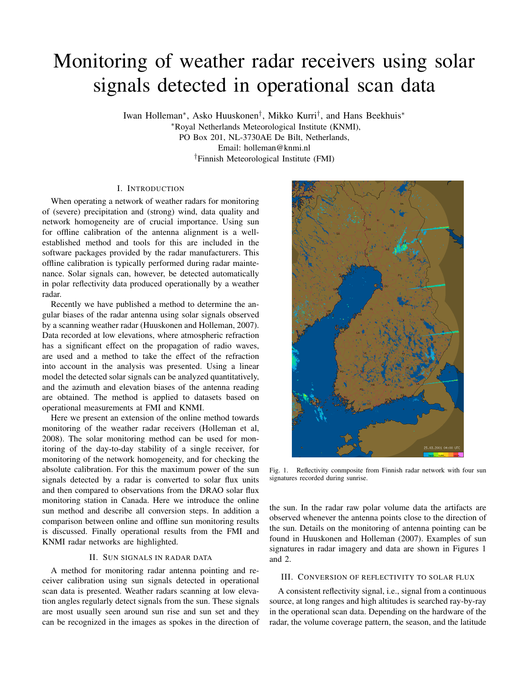# Monitoring of weather radar receivers using solar signals detected in operational scan data

Iwan Holleman<sup>∗</sup> , Asko Huuskonen† , Mikko Kurri† , and Hans Beekhuis<sup>∗</sup> <sup>∗</sup>Royal Netherlands Meteorological Institute (KNMI), PO Box 201, NL-3730AE De Bilt, Netherlands, Email: holleman@knmi.nl †Finnish Meteorological Institute (FMI)

# I. INTRODUCTION

When operating a network of weather radars for monitoring of (severe) precipitation and (strong) wind, data quality and network homogeneity are of crucial importance. Using sun for offline calibration of the antenna alignment is a wellestablished method and tools for this are included in the software packages provided by the radar manufacturers. This offline calibration is typically performed during radar maintenance. Solar signals can, however, be detected automatically in polar reflectivity data produced operationally by a weather radar.

Recently we have published a method to determine the angular biases of the radar antenna using solar signals observed by a scanning weather radar (Huuskonen and Holleman, 2007). Data recorded at low elevations, where atmospheric refraction has a significant effect on the propagation of radio waves, are used and a method to take the effect of the refraction into account in the analysis was presented. Using a linear model the detected solar signals can be analyzed quantitatively, and the azimuth and elevation biases of the antenna reading are obtained. The method is applied to datasets based on operational measurements at FMI and KNMI.

Here we present an extension of the online method towards monitoring of the weather radar receivers (Holleman et al, 2008). The solar monitoring method can be used for monitoring of the day-to-day stability of a single receiver, for monitoring of the network homogeneity, and for checking the absolute calibration. For this the maximum power of the sun signals detected by a radar is converted to solar flux units and then compared to observations from the DRAO solar flux monitoring station in Canada. Here we introduce the online sun method and describe all conversion steps. In addition a comparison between online and offline sun monitoring results is discussed. Finally operational results from the FMI and KNMI radar networks are highlighted.

# II. SUN SIGNALS IN RADAR DATA

A method for monitoring radar antenna pointing and receiver calibration using sun signals detected in operational scan data is presented. Weather radars scanning at low elevation angles regularly detect signals from the sun. These signals are most usually seen around sun rise and sun set and they can be recognized in the images as spokes in the direction of



Fig. 1. Reflectivity conmposite from Finnish radar network with four sun signatures recorded during sunrise.

the sun. In the radar raw polar volume data the artifacts are observed whenever the antenna points close to the direction of the sun. Details on the monitoring of antenna pointing can be found in Huuskonen and Holleman (2007). Examples of sun signatures in radar imagery and data are shown in Figures 1 and 2.

### III. CONVERSION OF REFLECTIVITY TO SOLAR FLUX

A consistent reflectivity signal, i.e., signal from a continuous source, at long ranges and high altitudes is searched ray-by-ray in the operational scan data. Depending on the hardware of the radar, the volume coverage pattern, the season, and the latitude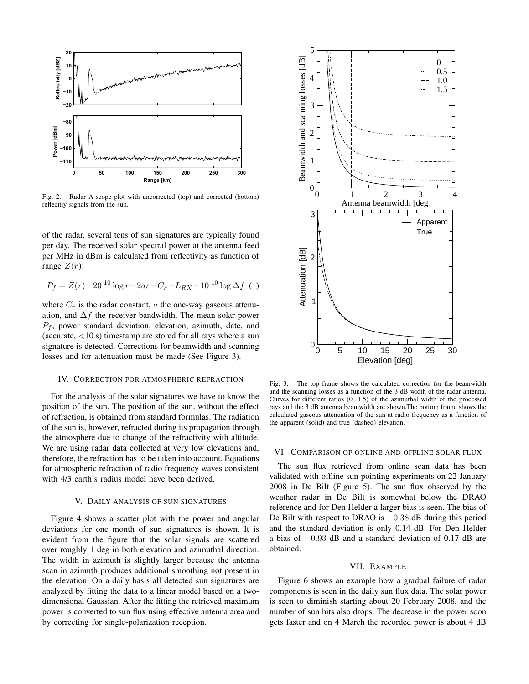

Fig. 2. Radar A-scope plot with uncorrected (top) and corrected (bottom) reflecitiy signals from the sun.

of the radar, several tens of sun signatures are typically found per day. The received solar spectral power at the antenna feed per MHz in dBm is calculated from reflectivity as function of range  $Z(r)$ :

$$
P_f = Z(r) - 20^{-10} \log r - 2ar - C_r + L_{RX} - 10^{-10} \log \Delta f
$$
 (1)

where  $C_r$  is the radar constant, a the one-way gaseous attenuation, and  $\Delta f$  the receiver bandwidth. The mean solar power  $\bar{P}_f$ , power standard deviation, elevation, azimuth, date, and (accurate,  $<$ 10 s) timestamp are stored for all rays where a sun signature is detected. Corrections for beamwidth and scanning losses and for attenuation must be made (See Figure 3).

#### IV. CORRECTION FOR ATMOSPHERIC REFRACTION

For the analysis of the solar signatures we have to know the position of the sun. The position of the sun, without the effect of refraction, is obtained from standard formulas. The radiation of the sun is, however, refracted during its propagation through the atmosphere due to change of the refractivity with altitude. We are using radar data collected at very low elevations and, therefore, the refraction has to be taken into account. Equations for atmospheric refraction of radio frequency waves consistent with 4/3 earth's radius model have been derived.

#### V. DAILY ANALYSIS OF SUN SIGNATURES

Figure 4 shows a scatter plot with the power and angular deviations for one month of sun signatures is shown. It is evident from the figure that the solar signals are scattered over roughly 1 deg in both elevation and azimuthal direction. The width in azimuth is slightly larger because the antenna scan in azimuth produces additional smoothing not present in the elevation. On a daily basis all detected sun signatures are analyzed by fitting the data to a linear model based on a twodimensional Gaussian. After the fitting the retrieved maximum power is converted to sun flux using effective antenna area and by correcting for single-polarization reception.



Fig. 3. The top frame shows the calculated correction for the beamwidth and the scanning losses as a function of the 3 dB width of the radar antenna. Curves for different ratios (0...1.5) of the azimuthal width of the processed rays and the 3 dB antenna beamwidth are shown.The bottom frame shows the calculated gaseous attenuation of the sun at radio frequency as a function of the apparent (solid) and true (dashed) elevation.

#### VI. COMPARISON OF ONLINE AND OFFLINE SOLAR FLUX

The sun flux retrieved from online scan data has been validated with offline sun pointing experiments on 22 January 2008 in De Bilt (Figure 5). The sun flux observed by the weather radar in De Bilt is somewhat below the DRAO reference and for Den Helder a larger bias is seen. The bias of De Bilt with respect to DRAO is −0.38 dB during this period and the standard deviation is only 0.14 dB. For Den Helder a bias of −0.93 dB and a standard deviation of 0.17 dB are obtained.

#### VII. EXAMPLE

Figure 6 shows an example how a gradual failure of radar components is seen in the daily sun flux data. The solar power is seen to diminish starting about 20 February 2008, and the number of sun hits also drops. The decrease in the power soon gets faster and on 4 March the recorded power is about 4 dB